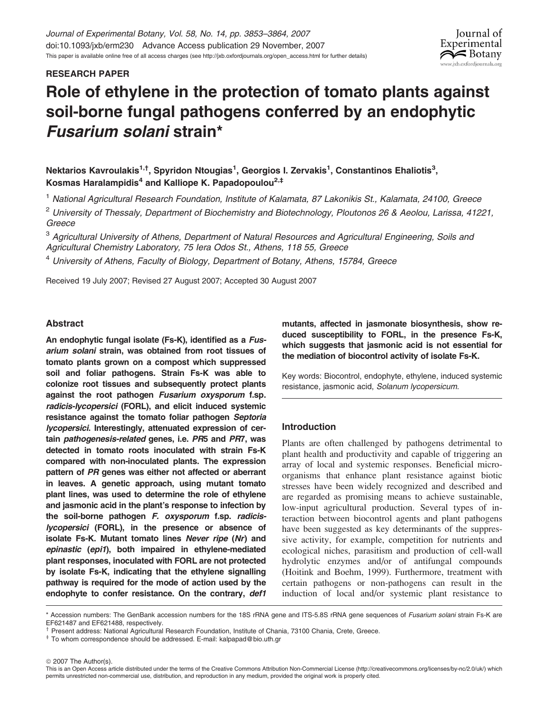# RESEARCH PAPER

# Role of ethylene in the protection of tomato plants against soil-borne fungal pathogens conferred by an endophytic Fusarium solani strain\*

Nektarios Kavroulakis $^{\rm 1, \dagger}$ , Spyridon Ntougias $^{\rm 1}$ , Georgios I. Zervakis $^{\rm 1}$ , Constantinos Ehaliotis $^{\rm 3}$ , Kosmas Haralampidis<sup>4</sup> and Kalliope K. Papadopoulou<sup>2,‡</sup>

<sup>1</sup> National Agricultural Research Foundation, Institute of Kalamata, 87 Lakonikis St., Kalamata, 24100, Greece

<sup>2</sup> University of Thessaly, Department of Biochemistry and Biotechnology, Ploutonos 26 & Aeolou, Larissa, 41221, Greece

<sup>3</sup> Agricultural University of Athens, Department of Natural Resources and Agricultural Engineering, Soils and Agricultural Chemistry Laboratory, 75 Iera Odos St., Athens, 118 55, Greece

 $4$  University of Athens, Faculty of Biology, Department of Botany, Athens, 15784, Greece

Received 19 July 2007; Revised 27 August 2007; Accepted 30 August 2007

# Abstract

An endophytic fungal isolate (Fs-K), identified as a Fusarium solani strain, was obtained from root tissues of tomato plants grown on a compost which suppressed soil and foliar pathogens. Strain Fs-K was able to colonize root tissues and subsequently protect plants against the root pathogen Fusarium oxysporum f.sp. radicis-lycopersici (FORL), and elicit induced systemic resistance against the tomato foliar pathogen Septoria lycopersici. Interestingly, attenuated expression of certain pathogenesis-related genes, i.e. PR5 and PR7, was detected in tomato roots inoculated with strain Fs-K compared with non-inoculated plants. The expression pattern of PR genes was either not affected or aberrant in leaves. A genetic approach, using mutant tomato plant lines, was used to determine the role of ethylene and jasmonic acid in the plant's response to infection by the soil-borne pathogen F. oxysporum f.sp. radicislycopersici (FORL), in the presence or absence of isolate Fs-K. Mutant tomato lines Never ripe (Nr) and epinastic (epi1), both impaired in ethylene-mediated plant responses, inoculated with FORL are not protected by isolate Fs-K, indicating that the ethylene signalling pathway is required for the mode of action used by the endophyte to confer resistance. On the contrary, def1

mutants, affected in jasmonate biosynthesis, show reduced susceptibility to FORL, in the presence Fs-K, which suggests that jasmonic acid is not essential for the mediation of biocontrol activity of isolate Fs-K.

Iournal of Experimental  $\approx$  Botany ww.ixb.oxfordiournals.org

Key words: Biocontrol, endophyte, ethylene, induced systemic resistance, jasmonic acid, Solanum lycopersicum.

# Introduction

Plants are often challenged by pathogens detrimental to plant health and productivity and capable of triggering an array of local and systemic responses. Beneficial microorganisms that enhance plant resistance against biotic stresses have been widely recognized and described and are regarded as promising means to achieve sustainable, low-input agricultural production. Several types of interaction between biocontrol agents and plant pathogens have been suggested as key determinants of the suppressive activity, for example, competition for nutrients and ecological niches, parasitism and production of cell-wall hydrolytic enzymes and/or of antifungal compounds (Hoitink and Boehm, 1999). Furthermore, treatment with certain pathogens or non-pathogens can result in the induction of local and/or systemic plant resistance to

© 2007 The Author(s).

<sup>\*</sup> Accession numbers: The GenBank accession numbers for the 18S rRNA gene and ITS-5.8S rRNA gene sequences of Fusarium solani strain Fs-K are EF621487 and EF621488, respectively.

<sup>&</sup>lt;sup>†</sup> Present address: National Agricultural Research Foundation, Institute of Chania, 73100 Chania, Crete, Greece. <br><sup>‡</sup> To whom correspondence should be addressed. E-mail: kalpapad@bio.uth.gr

This is an Open Access article distributed under the terms of the Creative Commons Attribution Non-Commercial License [\(http://creativecommons.org/licenses/by-nc/2.0/uk/\)](http://creativecommons.org/licenses/by-nc/2.0/uk) which permits unrestricted non-commercial use, distribution, and reproduction in any medium, provided the original work is properly cited.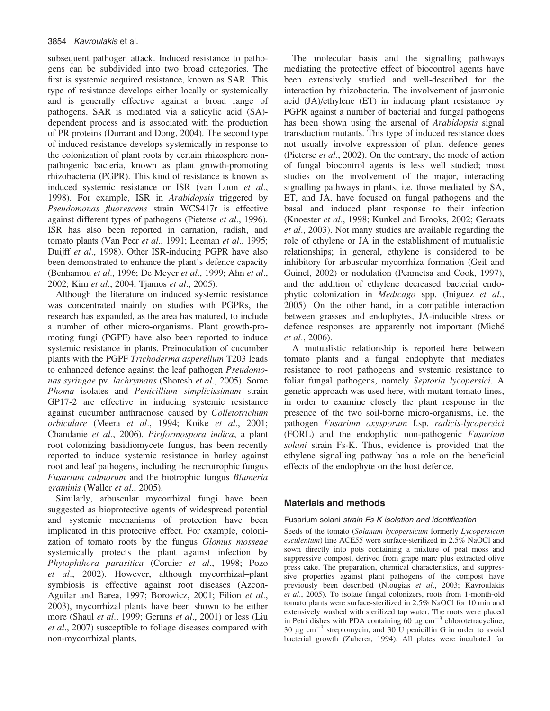subsequent pathogen attack. Induced resistance to pathogens can be subdivided into two broad categories. The first is systemic acquired resistance, known as SAR. This type of resistance develops either locally or systemically and is generally effective against a broad range of pathogens. SAR is mediated via a salicylic acid (SA) dependent process and is associated with the production of PR proteins (Durrant and Dong, 2004). The second type of induced resistance develops systemically in response to the colonization of plant roots by certain rhizosphere nonpathogenic bacteria, known as plant growth-promoting rhizobacteria (PGPR). This kind of resistance is known as induced systemic resistance or ISR (van Loon et al., 1998). For example, ISR in Arabidopsis triggered by Pseudomonas fluorescens strain WCS417r is effective against different types of pathogens (Pieterse et al., 1996). ISR has also been reported in carnation, radish, and tomato plants (Van Peer et al., 1991; Leeman et al., 1995; Duijff et al., 1998). Other ISR-inducing PGPR have also been demonstrated to enhance the plant's defence capacity (Benhamou et al., 1996; De Meyer et al., 1999; Ahn et al., 2002; Kim et al., 2004; Tjamos et al., 2005).

Although the literature on induced systemic resistance was concentrated mainly on studies with PGPRs, the research has expanded, as the area has matured, to include a number of other micro-organisms. Plant growth-promoting fungi (PGPF) have also been reported to induce systemic resistance in plants. Preinoculation of cucumber plants with the PGPF Trichoderma asperellum T203 leads to enhanced defence against the leaf pathogen Pseudomonas syringae pv. lachrymans (Shoresh et al., 2005). Some Phoma isolates and Penicillium simplicissimum strain GP17-2 are effective in inducing systemic resistance against cucumber anthracnose caused by Colletotrichum orbiculare (Meera et al., 1994; Koike et al., 2001; Chandanie et al., 2006). Piriformospora indica, a plant root colonizing basidiomycete fungus, has been recently reported to induce systemic resistance in barley against root and leaf pathogens, including the necrotrophic fungus Fusarium culmorum and the biotrophic fungus Blumeria graminis (Waller et al., 2005).

Similarly, arbuscular mycorrhizal fungi have been suggested as bioprotective agents of widespread potential and systemic mechanisms of protection have been implicated in this protective effect. For example, colonization of tomato roots by the fungus Glomus mosseae systemically protects the plant against infection by Phytophthora parasitica (Cordier et al., 1998; Pozo et al., 2002). However, although mycorrhizal–plant symbiosis is effective against root diseases (Azcon-Aguilar and Barea, 1997; Borowicz, 2001; Filion et al., 2003), mycorrhizal plants have been shown to be either more (Shaul et al., 1999; Gernns et al., 2001) or less (Liu et al., 2007) susceptible to foliage diseases compared with non-mycorrhizal plants.

The molecular basis and the signalling pathways mediating the protective effect of biocontrol agents have been extensively studied and well-described for the interaction by rhizobacteria. The involvement of jasmonic acid (JA)/ethylene (ET) in inducing plant resistance by PGPR against a number of bacterial and fungal pathogens has been shown using the arsenal of *Arabidopsis* signal transduction mutants. This type of induced resistance does not usually involve expression of plant defence genes (Pieterse et al., 2002). On the contrary, the mode of action of fungal biocontrol agents is less well studied; most studies on the involvement of the major, interacting signalling pathways in plants, i.e. those mediated by SA, ET, and JA, have focused on fungal pathogens and the basal and induced plant response to their infection (Knoester et al., 1998; Kunkel and Brooks, 2002; Geraats et al., 2003). Not many studies are available regarding the role of ethylene or JA in the establishment of mutualistic relationships; in general, ethylene is considered to be inhibitory for arbuscular mycorrhiza formation (Geil and Guinel, 2002) or nodulation (Penmetsa and Cook, 1997), and the addition of ethylene decreased bacterial endophytic colonization in Medicago spp. (Iniguez et al., 2005). On the other hand, in a compatible interaction between grasses and endophytes, JA-inducible stress or defence responses are apparently not important (Miché et al., 2006).

A mutualistic relationship is reported here between tomato plants and a fungal endophyte that mediates resistance to root pathogens and systemic resistance to foliar fungal pathogens, namely Septoria lycopersici. A genetic approach was used here, with mutant tomato lines, in order to examine closely the plant response in the presence of the two soil-borne micro-organisms, i.e. the pathogen Fusarium oxysporum f.sp. radicis-lycopersici (FORL) and the endophytic non-pathogenic Fusarium solani strain Fs-K. Thus, evidence is provided that the ethylene signalling pathway has a role on the beneficial effects of the endophyte on the host defence.

## Materials and methods

### Fusarium solani strain Fs-K isolation and identification

Seeds of the tomato (Solanum lycopersicum formerly Lycopersicon esculentum) line ACE55 were surface-sterilized in 2.5% NaOCl and sown directly into pots containing a mixture of peat moss and suppressive compost, derived from grape marc plus extracted olive press cake. The preparation, chemical characteristics, and suppressive properties against plant pathogens of the compost have previously been described (Ntougias et al., 2003; Kavroulakis et al., 2005). To isolate fungal colonizers, roots from 1-month-old tomato plants were surface-sterilized in 2.5% NaOCl for 10 min and extensively washed with sterilized tap water. The roots were placed in Petri dishes with PDA containing 60  $\mu$ g cm<sup>-3</sup> chlorotetracycline, 30  $\mu$ g cm<sup>-3</sup> streptomycin, and 30 U penicillin G in order to avoid bacterial growth (Zuberer, 1994). All plates were incubated for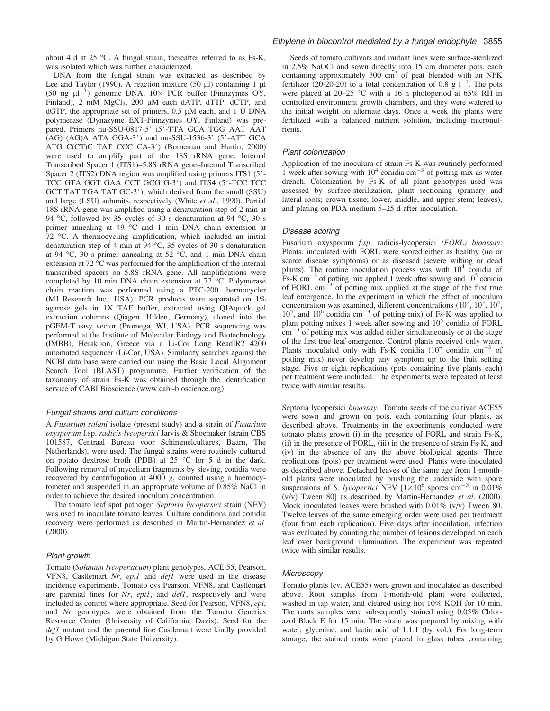about 4 d at 25 °C. A fungal strain, thereafter referred to as Fs-K, was isolated which was further characterized.

DNA from the fungal strain was extracted as described by Lee and Taylor (1990). A reaction mixture (50  $\mu$ l) containing 1  $\mu$ l (50 ng  $\mu$ l<sup>-1</sup>) genomic DNA, 10× PCR buffer (Finnzymes OY, Finland),  $2 \text{ mM } MgCl_2$ ,  $200 \text{ µM}$  each dATP, dTTP, dCTP, and  $dGTP$ , the appropriate set of primers, 0.5  $\mu$ M each, and 1 U DNA polymerase (Dynazyme EXT-Finnzymes OY, Finland) was prepared. Primers nu-SSU-0817-5' (5'-TTA GCA TGG AAT AAT  $(AG)$   $(AG)$ A  $ATA$   $GGA-3'$  and nu-SSU-1536-3'  $(5'$ -ATT  $GCA$ ATG C(CT)C TAT CCC CA-3') (Borneman and Hartin, 2000) were used to amplify part of the 18S rRNA gene. Internal Transcribed Spacer 1 (ITS1)–5.8S rRNA gene–Internal Transcribed Spacer 2 (ITS2) DNA region was amplified using primers ITS1 (5'-TCC GTA GGT GAA CCT GCG G-3') and ITS4 (5'-TCC TCC GCT TAT TGA TAT GC-3'), which derived from the small (SSU) and large (LSU) subunits, respectively (White et al., 1990). Partial 18S rRNA gene was amplified using a denaturation step of 2 min at 94 °C, followed by 35 cycles of 30 s denaturation at 94 °C, 30 s primer annealing at  $49^{\circ}$ C and 1 min DNA chain extension at  $72$  °C. A thermocycling amplification, which included an initial denaturation step of 4 min at  $94 °C$ , 35 cycles of 30 s denaturation at 94 °C, 30 s primer annealing at 52 °C, and 1 min DNA chain extension at  $72 \text{ °C}$  was performed for the amplification of the internal transcribed spacers on 5.8S rRNA gene. All amplifications were completed by 10 min DNA chain extension at  $72$  °C. Polymerase chain reaction was performed using a PTC-200 thermocycler (MJ Research Inc., USA). PCR products were separated on 1% agarose gels in 1X TAE buffer, extracted using QIAquick gel extraction columns (Qiagen, Hilden, Germany), cloned into the pGEM-T easy vector (Promega, WI, USA). PCR sequencing was performed at the Institute of Molecular Biology and Biotechnology (IMBB), Heraklion, Greece via a Li-Cor Long ReadIR2 4200 automated sequencer (Li-Cor, USA). Similarity searches against the NCBI data base were carried out using the Basic Local Alignment Search Tool (BLAST) programme. Further verification of the taxonomy of strain Fs-K was obtained through the identification service of CABI Bioscience [\(www.cabi-bioscience.org\)](http://www.cabi-bioscience.org)

## Fungal strains and culture conditions

A Fusarium solani isolate (present study) and a strain of Fusarium oxysporum f.sp. radicis-lycopersici Jarvis & Shoemaker (strain CBS 101587, Centraal Bureau voor Schimmelcultures, Baarn, The Netherlands), were used. The fungal strains were routinely cultured on potato dextrose broth (PDB) at  $25^{\circ}$ C for 5 d in the dark. Following removal of mycelium fragments by sieving, conidia were recovered by centrifugation at 4000 g, counted using a haemocytometer and suspended in an appropriate volume of 0.85% NaCl in order to achieve the desired inoculum concentration.

The tomato leaf spot pathogen Septoria lycopersici strain (NEV) was used to inoculate tomato leaves. Culture conditions and conidia recovery were performed as described in Martin-Hernandez et al. (2000).

#### Plant growth

Tomato (Solanum lycopersicum) plant genotypes, ACE 55, Pearson, VFN8, Castlemart Nr, epi1 and def1 were used in the disease incidence experiments. Tomato cvs Pearson, VFN8, and Castlemart are parental lines for  $Nr$ ,  $epil$ , and  $defl$ , respectively and were included as control where appropriate. Seed for Pearson, VFN8, epi, and Nr genotypes were obtained from the Tomato Genetics Resource Center (University of California, Davis). Seed for the def1 mutant and the parental line Castlemart were kindly provided by G Howe (Michigan State University).

#### Ethylene in biocontrol mediated by a fungal endophyte 3855

Seeds of tomato cultivars and mutant lines were surface-sterilized in 2.5% NaOCl and sown directly into 15 cm diameter pots, each containing approximately 300  $\text{cm}^3$  of peat blended with an NPK fertilizer (20-20-20) to a total concentration of 0.8 g  $1^{-1}$ . The pots were placed at 20–25 °C with a 16 h photoperiod at 65% RH in controlled-environment growth chambers, and they were watered to the initial weight on alternate days. Once a week the plants were fertilized with a balanced nutrient solution, including micronutrients.

#### Plant colonization

Application of the inoculum of strain Fs-K was routinely performed 1 week after sowing with  $10^4$  conidia cm<sup>-3</sup> of potting mix as water drench. Colonization by Fs-K of all plant genotypes used was assessed by surface-sterilization, plant sectioning (primary and lateral roots; crown tissue; lower, middle, and upper stem; leaves), and plating on PDA medium 5–25 d after inoculation.

#### Disease scoring

Fusarium oxysporum f.sp. radicis-lycopersici (FORL) bioassay: Plants, inoculated with FORL were scored either as healthy (no or scarce disease symptoms) or as diseased (severe wilting or dead plants). The routine inoculation process was with  $10<sup>4</sup>$  conidia of Fs-K cm<sup>-3</sup> of potting mix applied 1 week after sowing and  $10^5$  conidia of FORL  $cm^{-3}$  of potting mix applied at the stage of the first true leaf emergence. In the experiment in which the effect of inoculum concentration was examined, different concentrations  $(10^2, 10^3, 10^4,$  $10^5$ , and  $10^6$  conidia cm<sup>-3</sup> of potting mix) of Fs-K was applied to plant potting mixes 1 week after sowing and  $10<sup>5</sup>$  conidia of FORL  $\text{cm}^{-3}$  of potting mix was added either simultaneously or at the stage of the first true leaf emergence. Control plants received only water. Plants inoculated only with Fs-K conidia  $(10^4 \text{ conidia cm}^{-3} \text{ of }$ potting mix) never develop any symptom up to the fruit setting stage. Five or eight replications (pots containing five plants each) per treatment were included. The experiments were repeated at least twice with similar results.

Septoria lycopersici bioassay: Tomato seeds of the cultivar ACE55 were sown and grown on pots, each containing four plants, as described above. Treatments in the experiments conducted were tomato plants grown (i) in the presence of FORL and strain Fs-K, (ii) in the presence of FORL, (iii) in the presence of strain Fs-K, and (iv) in the absence of any the above biological agents. Three replications (pots) per treatment were used. Plants were inoculated as described above. Detached leaves of the same age from 1-monthold plants were inoculated by brushing the underside with spore suspensions of S. lycopersici NEV  $[1 \times 10^6$  spores cm<sup>-3</sup> in 0.01%  $(v/v)$  Tween 80] as described by Martin-Hernandez et al. (2000). Mock inoculated leaves were brushed with  $0.01\%$  (v/v) Tween 80. Twelve leaves of the same emerging order were used per treatment (four from each replication). Five days after inoculation, infection was evaluated by counting the number of lesions developed on each leaf over background illumination. The experiment was repeated twice with similar results.

#### **Microscopy**

Tomato plants (cv. ACE55) were grown and inoculated as described above. Root samples from 1-month-old plant were collected, washed in tap water, and cleared using hot 10% KOH for 10 min. The roots samples were subsequently stained using 0.05% Chlorazol Black E for 15 min. The strain was prepared by mixing with water, glycerine, and lactic acid of 1:1:1 (by vol.). For long-term storage, the stained roots were placed in glass tubes containing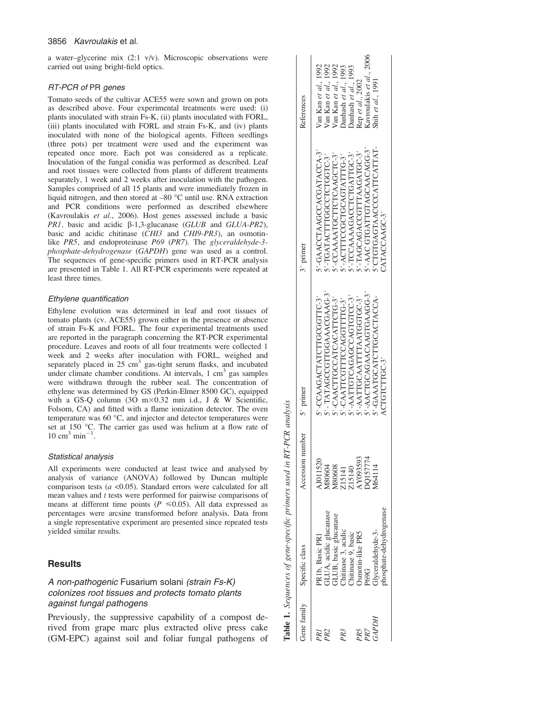#### 3856 Kavroulakis et al.

a water–glycerine mix (2:1 v/v). Microscopic observations were carried out using bright-field optics.

## RT-PCR of PR genes

Tomato seeds of the cultivar ACE55 were sown and grown on pots as described above. Four experimental treatments were used: (i) plants inoculated with strain Fs-K, (ii) plants inoculated with FORL, (iii) plants inoculated with FORL and strain Fs-K, and (iv) plants inoculated with none of the biological agents. Fifteen seedlings (three pots) per treatment were used and the experiment was repeated once more. Each pot was considered as a replicate. Inoculation of the fungal conidia was performed as described. Leaf and root tissues were collected from plants of different treatments separately, 1 week and 2 weeks after inoculation with the pathogen. Samples comprised of all 15 plants and were immediately frozen in liquid nitrogen, and then stored at  $-80$  °C until use. RNA extraction and PCR conditions were performed as described elsewhere (Kavroulakis et al., 2006). Host genes assessed include a basic PR1, basic and acidic  $\beta$ -1,3-glucanase (GLUB and GLUA-PR2), basic and acidic chitinase (CHI3 and CHI9-PR3), an osmotinlike PR5, and endoproteinase P69 (PR7). The glyceraldehyde-3phosphate-dehydrogenase (GAPDH) gene was used as a control. The sequences of gene-specific primers used in RT-PCR analysis are presented in Table 1. All RT-PCR experiments were repeated at least three times.

#### Ethylene quantification

Ethylene evolution was determined in leaf and root tissues of tomato plants (cv. ACE55) grown either in the presence or absence of strain Fs-K and FORL. The four experimental treatments used are reported in the paragraph concerning the RT-PCR experimental procedure. Leaves and roots of all four treatments were collected 1 week and 2 weeks after inoculation with FORL, weighed and separately placed in  $25 \text{ cm}^3$  gas-tight serum flasks, and incubated under climate chamber conditions. At intervals,  $1 \text{ cm}^3$  gas samples were withdrawn through the rubber seal. The concentration of ethylene was determined by GS (Perkin-Elmer 8500 GC), equipped with a GS-O column  $(30 \text{ m} \times 0.32 \text{ mm}$  i.d., J & W Scientific, Folsom, CA) and fitted with a flame ionization detector. The oven temperature was  $60^{\circ}$ C, and injector and detector temperatures were set at 150 °C. The carrier gas used was helium at a flow rate of  $10 \text{ cm}^3 \text{ min}^{-1}$ .

#### Statistical analysis

All experiments were conducted at least twice and analysed by analysis of variance (ANOVA) followed by Duncan multiple comparison tests ( $a$  <0.05). Standard errors were calculated for all mean values and  $t$  tests were performed for pairwise comparisons of means at different time points ( $P \le 0.05$ ). All data expressed as percentages were arcsine transformed before analysis. Data from a single representative experiment are presented since repeated tests yielded similar results.

## **Results**

# A non-pathogenic Fusarium solani (strain Fs-K) colonizes root tissues and protects tomato plants against fungal pathogens

Previously, the suppressive capability of a compost derived from grape marc plus extracted olive press cake (GM-EPC) against soil and foliar fungal pathogens of

|       | Gene family Specific class     | Accession        | number $5'$ primer         | 3' primer                   | References               |
|-------|--------------------------------|------------------|----------------------------|-----------------------------|--------------------------|
|       | PR1b, Basic PR1                | AJ011520         | 5'-CCAAGACTATCTTGCGGTTC-3' | 5'-GAACCTAAGCCACGATACCA-3'  | Van Kan et al., 1992     |
|       | <b>GLUA</b> , acidic glucanase | A80604           | 5'-TATAGCCGTTGGAAACGAAG-3  | 5'-TGATACTTGGCCTCTGGTC-3    | Van Kan et al., 1992     |
|       | GLUB, basic glucanase          |                  | 5'-CAACTTGCCATCATTCTG-3'   | 5'-CCAAAATGCTTCTCAAGCTC-3'  | Van Kan et al., 1992     |
|       | Chitinase 3, acidic            | M80608<br>Z15141 | 5'-CAATTCGTTTCCAGGTTTG-3   | 5'-ACTTTCCGCTGCAGTATTTG-3   | Danhash et al., 1993     |
|       | Chitinase 9, basic             | 215140           | 5'-AATTGTCAGGCCAGTGTCC-3'  | 5'-TCCAAAAGACCTCTGATTGC-3   | Danhash et al., 1993     |
|       | Osmotin-like PR5               | AY093593         | 5'-AATTGCAATTTAATGGTGC-3   | 5'-TAGCAGACCTTTAAGATGC-3    | Rep et al., 2002         |
|       | P69G                           | <b>DQ157774</b>  | 5'-AACTGCAGAACAAGTGAAGG-3' | 5'-AAC GTGATTGTAGCAACAGG-3' | Kavroulakis et al., 2006 |
| йдРДН | Flyceraldehyde-3-              | 464114           | 5'-GAAATGCATCTTGCACTACCA-  | 5' CTGTGAGTAACCCCATTCATTAT- | Shih et al., 1991        |
|       | hosphate-dehydrogenase         |                  | ACTGTCTTGC-3'              | CATACCAAGC-3'               |                          |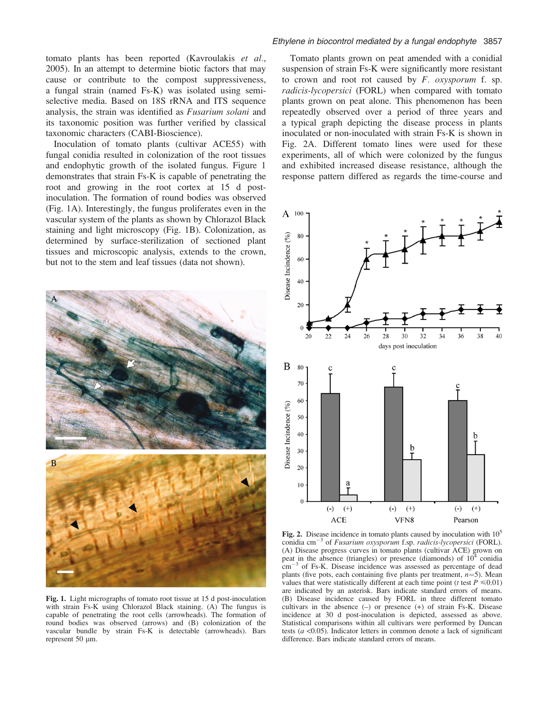tomato plants has been reported (Kavroulakis et al., 2005). In an attempt to determine biotic factors that may cause or contribute to the compost suppressiveness, a fungal strain (named Fs-K) was isolated using semiselective media. Based on 18S rRNA and ITS sequence analysis, the strain was identified as Fusarium solani and its taxonomic position was further verified by classical taxonomic characters (CABI-Bioscience).

Inoculation of tomato plants (cultivar ACE55) with fungal conidia resulted in colonization of the root tissues and endophytic growth of the isolated fungus. Figure 1 demonstrates that strain Fs-K is capable of penetrating the root and growing in the root cortex at 15 d postinoculation. The formation of round bodies was observed (Fig. 1A). Interestingly, the fungus proliferates even in the vascular system of the plants as shown by Chlorazol Black staining and light microscopy (Fig. 1B). Colonization, as determined by surface-sterilization of sectioned plant tissues and microscopic analysis, extends to the crown, but not to the stem and leaf tissues (data not shown).



Fig. 1. Light micrographs of tomato root tissue at 15 d post-inoculation with strain Fs-K using Chlorazol Black staining. (A) The fungus is capable of penetrating the root cells (arrowheads). The formation of round bodies was observed (arrows) and (B) colonization of the vascular bundle by strain Fs-K is detectable (arrowheads). Bars represent 50 µm.

#### Ethylene in biocontrol mediated by a fungal endophyte 3857

Tomato plants grown on peat amended with a conidial suspension of strain Fs-K were significantly more resistant to crown and root rot caused by  $F$ . *oxysporum* f. sp. radicis-lycopersici (FORL) when compared with tomato plants grown on peat alone. This phenomenon has been repeatedly observed over a period of three years and a typical graph depicting the disease process in plants inoculated or non-inoculated with strain Fs-K is shown in Fig. 2A. Different tomato lines were used for these experiments, all of which were colonized by the fungus and exhibited increased disease resistance, although the response pattern differed as regards the time-course and



Fig. 2. Disease incidence in tomato plants caused by inoculation with  $10<sup>5</sup>$ conidia cm<sup>-3</sup> of *Fusarium oxysporum* f.sp. *radicis-lycopersici* (FORL). (A) Disease progress curves in tomato plants (cultivar ACE) grown on peat in the absence (triangles) or presence (diamonds) of  $10^4$  conidia  $\text{cm}^{-3}$  of Fs-K. Disease incidence was assessed as percentage of dead plants (five pots, each containing five plants per treatment,  $n=5$ ). Mean values that were statistically different at each time point (*t* test  $P \le 0.01$ ) are indicated by an asterisk. Bars indicate standard errors of means. (B) Disease incidence caused by FORL in three different tomato cultivars in the absence (–) or presence (+) of strain Fs-K. Disease incidence at 30 d post-inoculation is depicted, assessed as above. Statistical comparisons within all cultivars were performed by Duncan tests ( $a$  <0.05). Indicator letters in common denote a lack of significant difference. Bars indicate standard errors of means.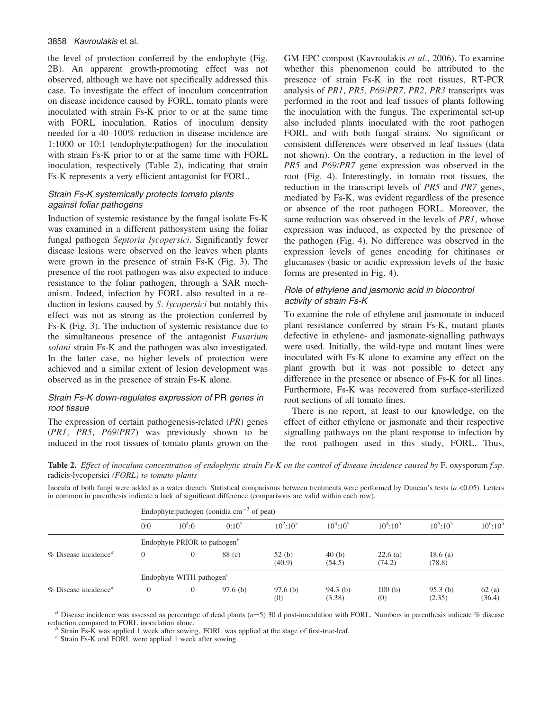### 3858 Kavroulakis et al.

the level of protection conferred by the endophyte (Fig. 2B). An apparent growth-promoting effect was not observed, although we have not specifically addressed this case. To investigate the effect of inoculum concentration on disease incidence caused by FORL, tomato plants were inoculated with strain Fs-K prior to or at the same time with FORL inoculation. Ratios of inoculum density needed for a 40–100% reduction in disease incidence are 1:1000 or 10:1 (endophyte:pathogen) for the inoculation with strain Fs-K prior to or at the same time with FORL inoculation, respectively (Table 2), indicating that strain Fs-K represents a very efficient antagonist for FORL.

# Strain Fs-K systemically protects tomato plants against foliar pathogens

Induction of systemic resistance by the fungal isolate Fs-K was examined in a different pathosystem using the foliar fungal pathogen Septoria lycopersici. Significantly fewer disease lesions were observed on the leaves when plants were grown in the presence of strain Fs-K (Fig. 3). The presence of the root pathogen was also expected to induce resistance to the foliar pathogen, through a SAR mechanism. Indeed, infection by FORL also resulted in a reduction in lesions caused by S. lycopersici but notably this effect was not as strong as the protection conferred by Fs-K (Fig. 3). The induction of systemic resistance due to the simultaneous presence of the antagonist Fusarium solani strain Fs-K and the pathogen was also investigated. In the latter case, no higher levels of protection were achieved and a similar extent of lesion development was observed as in the presence of strain Fs-K alone.

# Strain Fs-K down-regulates expression of PR genes in root tissue

The expression of certain pathogenesis-related (PR) genes (PR1, PR5, P69/PR7) was previously shown to be induced in the root tissues of tomato plants grown on the GM-EPC compost (Kavroulakis et al., 2006). To examine whether this phenomenon could be attributed to the presence of strain Fs-K in the root tissues, RT-PCR analysis of PR1, PR5, P69/PR7, PR2, PR3 transcripts was performed in the root and leaf tissues of plants following the inoculation with the fungus. The experimental set-up also included plants inoculated with the root pathogen FORL and with both fungal strains. No significant or consistent differences were observed in leaf tissues (data not shown). On the contrary, a reduction in the level of PR5 and P69/PR7 gene expression was observed in the root (Fig. 4). Interestingly, in tomato root tissues, the reduction in the transcript levels of PR5 and PR7 genes, mediated by Fs-K, was evident regardless of the presence or absence of the root pathogen FORL. Moreover, the same reduction was observed in the levels of PR1, whose expression was induced, as expected by the presence of the pathogen (Fig. 4). No difference was observed in the expression levels of genes encoding for chitinases or glucanases (basic or acidic expression levels of the basic forms are presented in Fig. 4).

# Role of ethylene and jasmonic acid in biocontrol activity of strain Fs-K

To examine the role of ethylene and jasmonate in induced plant resistance conferred by strain Fs-K, mutant plants defective in ethylene- and jasmonate-signalling pathways were used. Initially, the wild-type and mutant lines were inoculated with Fs-K alone to examine any effect on the plant growth but it was not possible to detect any difference in the presence or absence of Fs-K for all lines. Furthermore, Fs-K was recovered from surface-sterilized root sections of all tomato lines.

There is no report, at least to our knowledge, on the effect of either ethylene or jasmonate and their respective signalling pathways on the plant response to infection by the root pathogen used in this study, FORL. Thus,

Table 2. Effect of inoculum concentration of endophytic strain Fs-K on the control of disease incidence caused by F. oxysporum f.sp. radicis-lycopersici (FORL) to tomato plants

Inocula of both fungi were added as a water drench. Statistical comparisons between treatments were performed by Duncan's tests  $(a < 0.05)$ . Letters in common in parenthesis indicate a lack of significant difference (comparisons are valid within each row).

|                                                 | Endophyte: pathogen (conidia $cm^{-3}$ of peat)       |          |          |                 |                      |                      |                      |                 |  |
|-------------------------------------------------|-------------------------------------------------------|----------|----------|-----------------|----------------------|----------------------|----------------------|-----------------|--|
|                                                 | 0:0                                                   | $10^4:0$ | $0:10^5$ | $10^2:10^5$     | $10^3:10^5$          | $10^4:10^5$          | $10^5:10^5$          | $10^6:10^5$     |  |
|                                                 | Endophyte PRIOR to pathogen <sup><math>b</math></sup> |          |          |                 |                      |                      |                      |                 |  |
| $%$ Disease incidence <sup><math>a</math></sup> |                                                       | $\left($ | 88 (c)   | 52(b)<br>(40.9) | 40(b)<br>(54.5)      | $22.6$ (a)<br>(74.2) | 18.6 $(a)$<br>(78.8) |                 |  |
|                                                 | Endophyte WITH pathogen $c$                           |          |          |                 |                      |                      |                      |                 |  |
| $%$ Disease incidence <sup><math>a</math></sup> | $\overline{0}$                                        | $\Omega$ | 97.6(b)  | 97.6(b)<br>(0)  | $94.3$ (b)<br>(3.38) | 100(b)<br>(0)        | $95.3$ (b)<br>(2.35) | 62(a)<br>(36.4) |  |

<sup>a</sup> Disease incidence was assessed as percentage of dead plants ( $n=5$ ) 30 d post-inoculation with FORL. Numbers in parenthesis indicate % disease reduction compared to FORL inoculation alone.

<sup>b</sup> Strain Fs-K was applied 1 week after sowing, FORL was applied at the stage of first-true-leaf.  $\epsilon$  Strain Fs-K and FORL were applied 1 week after sowing.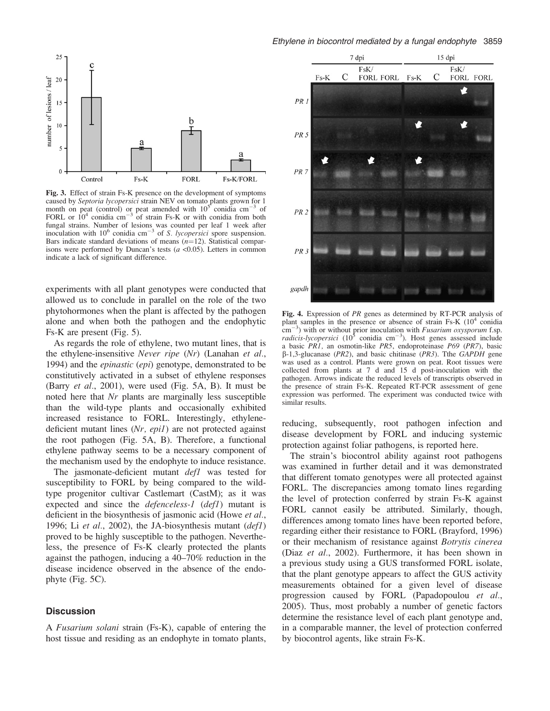

Fig. 3. Effect of strain Fs-K presence on the development of symptoms caused by Septoria lycopersici strain NEV on tomato plants grown for 1 month on peat (control) or peat amended with  $10^{5}$  conidia cm<sup>-3</sup> of FORL or  $10^4$  conidia cm<sup>-3</sup> of strain Fs-K or with conidia from both fungal strains. Number of lesions was counted per leaf 1 week after inoculation with  $10^6$  conidia cm<sup>-3</sup> of S. lycopersici spore suspension. Bars indicate standard deviations of means  $(n=12)$ . Statistical comparisons were performed by Duncan's tests  $(a < 0.05)$ . Letters in common indicate a lack of significant difference.

experiments with all plant genotypes were conducted that allowed us to conclude in parallel on the role of the two phytohormones when the plant is affected by the pathogen alone and when both the pathogen and the endophytic Fs-K are present (Fig. 5).

As regards the role of ethylene, two mutant lines, that is the ethylene-insensitive Never ripe (Nr) (Lanahan et al., 1994) and the epinastic (epi) genotype, demonstrated to be constitutively activated in a subset of ethylene responses (Barry et al., 2001), were used (Fig. 5A, B). It must be noted here that Nr plants are marginally less susceptible than the wild-type plants and occasionally exhibited increased resistance to FORL. Interestingly, ethylenedeficient mutant lines (Nr, epil) are not protected against the root pathogen (Fig. 5A, B). Therefore, a functional ethylene pathway seems to be a necessary component of the mechanism used by the endophyte to induce resistance.

The jasmonate-deficient mutant *defl* was tested for susceptibility to FORL by being compared to the wildtype progenitor cultivar Castlemart (CastM); as it was expected and since the *defenceless-1* (*def1*) mutant is deficient in the biosynthesis of jasmonic acid (Howe et al., 1996; Li et al., 2002), the JA-biosynthesis mutant  $\left(\frac{defI}{\right)$ proved to be highly susceptible to the pathogen. Nevertheless, the presence of Fs-K clearly protected the plants against the pathogen, inducing a 40–70% reduction in the disease incidence observed in the absence of the endophyte (Fig. 5C).

## **Discussion**

A Fusarium solani strain (Fs-K), capable of entering the host tissue and residing as an endophyte in tomato plants,



Fig. 4. Expression of PR genes as determined by RT-PCR analysis of plant samples in the presence or absence of strain Fs-K  $(10^4 \text{ condia})$  $\rm{cm^{-3}}$ ) with or without prior inoculation with *Fusarium oxysporum* f.sp. *radicis-lycopersici* (10<sup>5</sup> conidia cm<sup>-3</sup>). Host genes assessed include a basic PR1, an osmotin-like PR5, endoproteinase P69 (PR7), basic  $\beta$ -1,3-glucanase (*PR2*), and basic chitinase (*PR3*). The *GAPDH* gene was used as a control. Plants were grown on peat. Root tissues were collected from plants at 7 d and 15 d post-inoculation with the pathogen. Arrows indicate the reduced levels of transcripts observed in the presence of strain Fs-K. Repeated RT-PCR assessment of gene expression was performed. The experiment was conducted twice with similar results.

reducing, subsequently, root pathogen infection and disease development by FORL and inducing systemic protection against foliar pathogens, is reported here.

The strain's biocontrol ability against root pathogens was examined in further detail and it was demonstrated that different tomato genotypes were all protected against FORL. The discrepancies among tomato lines regarding the level of protection conferred by strain Fs-K against FORL cannot easily be attributed. Similarly, though, differences among tomato lines have been reported before, regarding either their resistance to FORL (Brayford, 1996) or their mechanism of resistance against *Botrytis cinerea* (Diaz et al., 2002). Furthermore, it has been shown in a previous study using a GUS transformed FORL isolate, that the plant genotype appears to affect the GUS activity measurements obtained for a given level of disease progression caused by FORL (Papadopoulou et al., 2005). Thus, most probably a number of genetic factors determine the resistance level of each plant genotype and, in a comparable manner, the level of protection conferred by biocontrol agents, like strain Fs-K.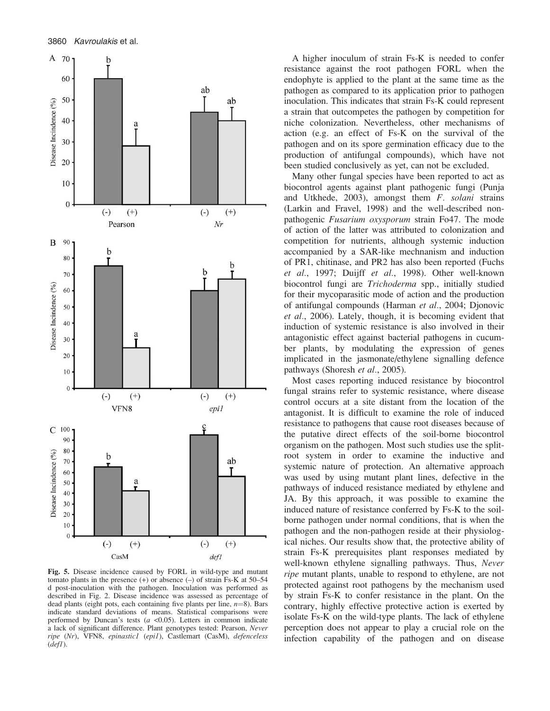

Fig. 5. Disease incidence caused by FORL in wild-type and mutant tomato plants in the presence  $(+)$  or absence  $(-)$  of strain Fs-K at 50–54 d post-inoculation with the pathogen. Inoculation was performed as described in Fig. 2. Disease incidence was assessed as percentage of dead plants (eight pots, each containing five plants per line,  $n=8$ ). Bars indicate standard deviations of means. Statistical comparisons were performed by Duncan's tests ( $a < 0.05$ ). Letters in common indicate a lack of significant difference. Plant genotypes tested: Pearson, Never ripe (Nr), VFN8, epinastic1 (epi1), Castlemart (CasM), defenceless  $(defl)$ .

A higher inoculum of strain Fs-K is needed to confer resistance against the root pathogen FORL when the endophyte is applied to the plant at the same time as the pathogen as compared to its application prior to pathogen inoculation. This indicates that strain Fs-K could represent a strain that outcompetes the pathogen by competition for niche colonization. Nevertheless, other mechanisms of action (e.g. an effect of Fs-K on the survival of the pathogen and on its spore germination efficacy due to the production of antifungal compounds), which have not been studied conclusively as yet, can not be excluded.

Many other fungal species have been reported to act as biocontrol agents against plant pathogenic fungi (Punja and Utkhede, 2003), amongst them F. solani strains (Larkin and Fravel, 1998) and the well-described nonpathogenic Fusarium oxysporum strain Fo47. The mode of action of the latter was attributed to colonization and competition for nutrients, although systemic induction accompanied by a SAR-like mechnanism and induction of PR1, chitinase, and PR2 has also been reported (Fuchs et al., 1997; Duijff et al., 1998). Other well-known biocontrol fungi are Trichoderma spp., initially studied for their mycoparasitic mode of action and the production of antifungal compounds (Harman et al., 2004; Djonovic et al., 2006). Lately, though, it is becoming evident that induction of systemic resistance is also involved in their antagonistic effect against bacterial pathogens in cucumber plants, by modulating the expression of genes implicated in the jasmonate/ethylene signalling defence pathways (Shoresh et al., 2005).

Most cases reporting induced resistance by biocontrol fungal strains refer to systemic resistance, where disease control occurs at a site distant from the location of the antagonist. It is difficult to examine the role of induced resistance to pathogens that cause root diseases because of the putative direct effects of the soil-borne biocontrol organism on the pathogen. Most such studies use the splitroot system in order to examine the inductive and systemic nature of protection. An alternative approach was used by using mutant plant lines, defective in the pathways of induced resistance mediated by ethylene and JA. By this approach, it was possible to examine the induced nature of resistance conferred by Fs-K to the soilborne pathogen under normal conditions, that is when the pathogen and the non-pathogen reside at their physiological niches. Our results show that, the protective ability of strain Fs-K prerequisites plant responses mediated by well-known ethylene signalling pathways. Thus, Never ripe mutant plants, unable to respond to ethylene, are not protected against root pathogens by the mechanism used by strain Fs-K to confer resistance in the plant. On the contrary, highly effective protective action is exerted by isolate Fs-K on the wild-type plants. The lack of ethylene perception does not appear to play a crucial role on the infection capability of the pathogen and on disease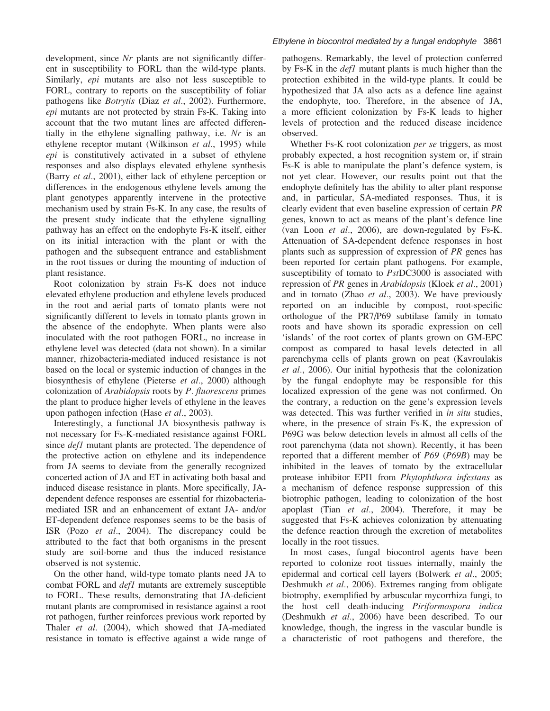development, since Nr plants are not significantly different in susceptibility to FORL than the wild-type plants. Similarly, *epi* mutants are also not less susceptible to FORL, contrary to reports on the susceptibility of foliar pathogens like Botrytis (Diaz et al., 2002). Furthermore, epi mutants are not protected by strain Fs-K. Taking into account that the two mutant lines are affected differentially in the ethylene signalling pathway, i.e.  $Nr$  is an ethylene receptor mutant (Wilkinson *et al.*, 1995) while epi is constitutively activated in a subset of ethylene responses and also displays elevated ethylene synthesis (Barry et al., 2001), either lack of ethylene perception or differences in the endogenous ethylene levels among the plant genotypes apparently intervene in the protective mechanism used by strain Fs-K. In any case, the results of the present study indicate that the ethylene signalling pathway has an effect on the endophyte Fs-K itself, either on its initial interaction with the plant or with the pathogen and the subsequent entrance and establishment in the root tissues or during the mounting of induction of plant resistance.

Root colonization by strain Fs-K does not induce elevated ethylene production and ethylene levels produced in the root and aerial parts of tomato plants were not significantly different to levels in tomato plants grown in the absence of the endophyte. When plants were also inoculated with the root pathogen FORL, no increase in ethylene level was detected (data not shown). In a similar manner, rhizobacteria-mediated induced resistance is not based on the local or systemic induction of changes in the biosynthesis of ethylene (Pieterse et al., 2000) although colonization of Arabidopsis roots by P. fluorescens primes the plant to produce higher levels of ethylene in the leaves upon pathogen infection (Hase *et al.*, 2003).

Interestingly, a functional JA biosynthesis pathway is not necessary for Fs-K-mediated resistance against FORL since *def1* mutant plants are protected. The dependence of the protective action on ethylene and its independence from JA seems to deviate from the generally recognized concerted action of JA and ET in activating both basal and induced disease resistance in plants. More specifically, JAdependent defence responses are essential for rhizobacteriamediated ISR and an enhancement of extant JA- and/or ET-dependent defence responses seems to be the basis of ISR (Pozo et al., 2004). The discrepancy could be attributed to the fact that both organisms in the present study are soil-borne and thus the induced resistance observed is not systemic.

On the other hand, wild-type tomato plants need JA to combat FORL and *defl* mutants are extremely susceptible to FORL. These results, demonstrating that JA-deficient mutant plants are compromised in resistance against a root rot pathogen, further reinforces previous work reported by Thaler et al. (2004), which showed that JA-mediated resistance in tomato is effective against a wide range of

### Ethylene in biocontrol mediated by a fungal endophyte 3861

pathogens. Remarkably, the level of protection conferred by Fs-K in the *defl* mutant plants is much higher than the protection exhibited in the wild-type plants. It could be hypothesized that JA also acts as a defence line against the endophyte, too. Therefore, in the absence of JA, a more efficient colonization by Fs-K leads to higher levels of protection and the reduced disease incidence observed.

Whether Fs-K root colonization *per se* triggers, as most probably expected, a host recognition system or, if strain Fs-K is able to manipulate the plant's defence system, is not yet clear. However, our results point out that the endophyte definitely has the ability to alter plant response and, in particular, SA-mediated responses. Thus, it is clearly evident that even baseline expression of certain PR genes, known to act as means of the plant's defence line (van Loon et al., 2006), are down-regulated by Fs-K. Attenuation of SA-dependent defence responses in host plants such as suppression of expression of PR genes has been reported for certain plant pathogens. For example, susceptibility of tomato to *PstDC3000* is associated with repression of PR genes in Arabidopsis (Kloek et al., 2001) and in tomato (Zhao  $et$  al., 2003). We have previously reported on an inducible by compost, root-specific orthologue of the PR7/P69 subtilase family in tomato roots and have shown its sporadic expression on cell 'islands' of the root cortex of plants grown on GM-EPC compost as compared to basal levels detected in all parenchyma cells of plants grown on peat (Kavroulakis et al., 2006). Our initial hypothesis that the colonization by the fungal endophyte may be responsible for this localized expression of the gene was not confirmed. On the contrary, a reduction on the gene's expression levels was detected. This was further verified in *in situ* studies, where, in the presence of strain Fs-K, the expression of P69G was below detection levels in almost all cells of the root parenchyma (data not shown). Recently, it has been reported that a different member of P69 (P69B) may be inhibited in the leaves of tomato by the extracellular protease inhibitor EPI1 from Phytophthora infestans as a mechanism of defence response suppression of this biotrophic pathogen, leading to colonization of the host apoplast (Tian et al., 2004). Therefore, it may be suggested that Fs-K achieves colonization by attenuating the defence reaction through the excretion of metabolites locally in the root tissues.

In most cases, fungal biocontrol agents have been reported to colonize root tissues internally, mainly the epidermal and cortical cell layers (Bolwerk et al., 2005; Deshmukh *et al.*, 2006). Extremes ranging from obligate biotrophy, exemplified by arbuscular mycorrhiza fungi, to the host cell death-inducing Piriformospora indica (Deshmukh et al., 2006) have been described. To our knowledge, though, the ingress in the vascular bundle is a characteristic of root pathogens and therefore, the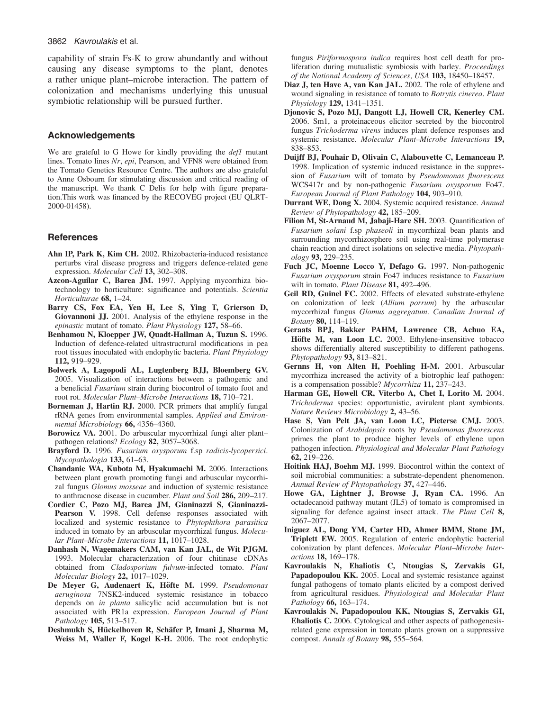capability of strain Fs-K to grow abundantly and without causing any disease symptoms to the plant, denotes a rather unique plant–microbe interaction. The pattern of colonization and mechanisms underlying this unusual symbiotic relationship will be pursued further.

## Acknowledgements

We are grateful to G Howe for kindly providing the *defl* mutant lines. Tomato lines Nr, epi, Pearson, and VFN8 were obtained from the Tomato Genetics Resource Centre. The authors are also grateful to Anne Osbourn for stimulating discussion and critical reading of the manuscript. We thank C Delis for help with figure preparation.This work was financed by the RECOVEG project (EU QLRT-2000-01458).

## **References**

- Ahn IP, Park K, Kim CH. 2002. Rhizobacteria-induced resistance perturbs viral disease progress and triggers defence-related gene expression. Molecular Cell 13, 302–308.
- Azcon-Aguilar C, Barea JM. 1997. Applying mycorrhiza biotechnology to horticulture: significance and potentials. Scientia Horticulturae 68, 1–24.
- Barry CS, Fox EA, Yen H, Lee S, Ying T, Grierson D, Giovannoni JJ. 2001. Analysis of the ethylene response in the epinastic mutant of tomato. Plant Physiology 127, 58–66.
- Benhamou N, Kloepper JW, Quadt-Hallman A, Tuzun S. 1996. Induction of defence-related ultrastructural modifications in pea root tissues inoculated with endophytic bacteria. Plant Physiology 112, 919–929.
- Bolwerk A, Lagopodi AL, Lugtenberg BJJ, Bloemberg GV. 2005. Visualization of interactions between a pathogenic and a beneficial Fusarium strain during biocontrol of tomato foot and root rot. Molecular Plant–Microbe Interactions 18, 710–721.
- Borneman J, Hartin RJ. 2000. PCR primers that amplify fungal rRNA genes from environmental samples. Applied and Environmental Microbiology 66, 4356–4360.
- Borowicz VA. 2001. Do arbuscular mycorrhizal fungi alter plant– pathogen relations? Ecology 82, 3057-3068.
- Brayford D. 1996. Fusarium oxysporum f.sp radicis-lycopersici. Mycopathologia 133, 61–63.
- Chandanie WA, Kubota M, Hyakumachi M. 2006. Interactions between plant growth promoting fungi and arbuscular mycorrhizal fungus Glomus mosseae and induction of systemic resistance to anthracnose disease in cucumber. Plant and Soil 286, 209–217.
- Cordier C, Pozo MJ, Barea JM, Gianinazzi S, Gianinazzi-Pearson V. 1998. Cell defense responses associated with localized and systemic resistance to Phytophthora parasitica induced in tomato by an arbuscular mycorrhizal fungus. Molecular Plant–Microbe Interactions 11, 1017–1028.
- Danhash N, Wagemakers CAM, van Kan JAL, de Wit PJGM. 1993. Molecular characterization of four chitinase cDNAs obtained from Cladosporium fulvum-infected tomato. Plant Molecular Biology 22, 1017–1029.
- De Meyer G, Audenaert K, Höfte M. 1999. Pseudomonas aeruginosa 7NSK2-induced systemic resistance in tobacco depends on in planta salicylic acid accumulation but is not associated with PR1a expression. European Journal of Plant Pathology 105, 513–517.
- Deshmukh S, Hückelhoven R, Schäfer P, Imani J, Sharma M, Weiss M, Waller F, Kogel K-H. 2006. The root endophytic

fungus *Piriformospora indica* requires host cell death for proliferation during mutualistic symbiosis with barley. Proceedings of the National Academy of Sciences, USA 103, 18450–18457.

- Diaz J, ten Have A, van Kan JAL. 2002. The role of ethylene and wound signaling in resistance of tomato to Botrytis cinerea. Plant Physiology 129, 1341–1351.
- Djonovic S, Pozo MJ, Dangott LJ, Howell CR, Kenerley CM. 2006. Sm1, a proteinaceous elicitor secreted by the biocontrol fungus Trichoderma virens induces plant defence responses and systemic resistance. Molecular Plant–Microbe Interactions 19, 838–853.
- Duijff BJ, Pouhair D, Olivain C, Alabouvette C, Lemanceau P. 1998. Implication of systemic induced resistance in the suppression of Fusarium wilt of tomato by Pseudomonas fluorescens WCS417r and by non-pathogenic Fusarium oxysporum Fo47. European Journal of Plant Pathology 104, 903–910.
- Durrant WE, Dong X. 2004. Systemic acquired resistance. Annual Review of Phytopathology 42, 185–209.
- Filion M, St-Arnaud M, Jabaji-Hare SH. 2003. Quantification of Fusarium solani f.sp phaseoli in mycorrhizal bean plants and surrounding mycorrhizosphere soil using real-time polymerase chain reaction and direct isolations on selective media. Phytopathology 93, 229–235.
- Fuch JC, Moenne Locco Y, Defago G. 1997. Non-pathogenic Fusarium oxysporum strain Fo47 induces resistance to Fusarium wilt in tomato. Plant Disease 81, 492-496.
- Geil RD, Guinel FC. 2002. Effects of elevated substrate-ethylene on colonization of leek (Allium porrum) by the arbuscular mycorrhizal fungus Glomus aggregatum. Canadian Journal of Botany 80, 114–119.
- Geraats BPJ, Bakker PAHM, Lawrence CB, Achuo EA, Höfte M, van Loon LC. 2003. Ethylene-insensitive tobacco shows differentially altered susceptibility to different pathogens. Phytopathology 93, 813-821.
- Gernns H, von Alten H, Poehling H-M. 2001. Arbuscular mycorrhiza increased the activity of a biotrophic leaf pathogen: is a compensation possible? Mycorrhiza 11, 237–243.
- Harman GE, Howell CR, Viterbo A, Chet I, Lorito M. 2004. Trichoderma species: opportunistic, avirulent plant symbionts. Nature Reviews Microbiology 2, 43–56.
- Hase S, Van Pelt JA, van Loon LC, Pieterse CMJ. 2003. Colonization of Arabidopsis roots by Pseudomonas fluorescens primes the plant to produce higher levels of ethylene upon pathogen infection. Physiological and Molecular Plant Pathology 62, 219–226.
- Hoitink HAJ, Boehm MJ. 1999. Biocontrol within the context of soil microbial communities: a substrate-dependent phenomenon. Annual Review of Phytopathology 37, 427-446.
- Howe GA, Lightner J, Browse J, Ryan CA. 1996. An octadecanoid pathway mutant (JL5) of tomato is compromised in signaling for defence against insect attack. The Plant Cell 8, 2067–2077.
- Iniguez AL, Dong YM, Carter HD, Ahmer BMM, Stone JM, Triplett EW. 2005. Regulation of enteric endophytic bacterial colonization by plant defences. Molecular Plant–Microbe Interactions 18, 169–178.
- Kavroulakis N, Ehaliotis C, Ntougias S, Zervakis GI, Papadopoulou KK. 2005. Local and systemic resistance against fungal pathogens of tomato plants elicited by a compost derived from agricultural residues. Physiological and Molecular Plant Pathology 66, 163-174.
- Kavroulakis N, Papadopoulou KK, Ntougias S, Zervakis GI, Ehaliotis C. 2006. Cytological and other aspects of pathogenesisrelated gene expression in tomato plants grown on a suppressive compost. Annals of Botany 98, 555–564.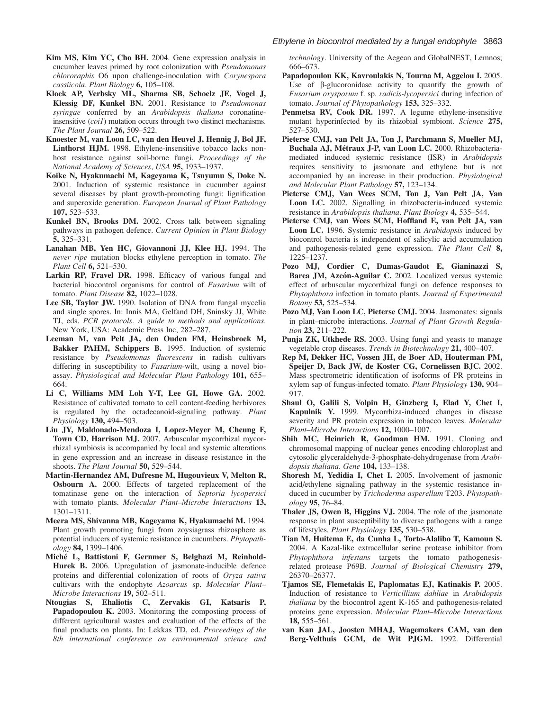- Kim MS, Kim YC, Cho BH. 2004. Gene expression analysis in cucumber leaves primed by root colonization with Pseudomonas chlororaphis O6 upon challenge-inoculation with Corynespora cassiicola. Plant Biology 6, 105-108.
- Kloek AP, Verbsky ML, Sharma SB, Schoelz JE, Vogel J, Klessig DF, Kunkel BN. 2001. Resistance to Pseudomonas syringae conferred by an Arabidopsis thaliana coronatineinsensitive (coi1) mutation occurs through two distinct mechanisms. The Plant Journal 26, 509-522.
- Knoester M, van Loon LC, van den Heuvel J, Hennig J, Bol JF, Linthorst HJM. 1998. Ethylene-insensitive tobacco lacks nonhost resistance against soil-borne fungi. Proceedings of the National Academy of Sciences, USA 95, 1933–1937.
- Koike N, Hyakumachi M, Kageyama K, Tsuyumu S, Doke N. 2001. Induction of systemic resistance in cucumber against several diseases by plant growth-promoting fungi: lignification and superoxide generation. European Journal of Plant Pathology 107, 523–533.
- Kunkel BN, Brooks DM. 2002. Cross talk between signaling pathways in pathogen defence. Current Opinion in Plant Biology 5, 325–331.
- Lanahan MB, Yen HC, Giovannoni JJ, Klee HJ. 1994. The never ripe mutation blocks ethylene perception in tomato. The Plant Cell 6, 521–530.
- Larkin RP, Fravel DR. 1998. Efficacy of various fungal and bacterial biocontrol organisms for control of Fusarium wilt of tomato. Plant Disease 82, 1022-1028.
- Lee SB, Taylor JW. 1990. Isolation of DNA from fungal mycelia and single spores. In: Innis MA, Gelfand DH, Sninsky JJ, White TJ, eds. PCR protocols. A guide to methods and applications. New York, USA: Academic Press Inc, 282–287.
- Leeman M, van Pelt JA, den Ouden FM, Heinsbroek M, Bakker PAHM, Schippers B. 1995. Induction of systemic resistance by Pseudomonas fluorescens in radish cultivars differing in susceptibility to *Fusarium*-wilt, using a novel bioassay. Physiological and Molecular Plant Pathology 101, 655-664.
- Li C, Williams MM Loh Y-T, Lee GI, Howe GA. 2002. Resistance of cultivated tomato to cell content-feeding herbivores is regulated by the octadecanoid-signaling pathway. Plant Physiology 130, 494–503.
- Liu JY, Maldonado-Mendoza I, Lopez-Meyer M, Cheung F, Town CD, Harrison MJ. 2007. Arbuscular mycorrhizal mycorrhizal symbiosis is accompanied by local and systemic alterations in gene expression and an increase in disease resistance in the shoots. The Plant Journal 50, 529-544.
- Martin-Hernandez AM, Dufresne M, Hugouvieux V, Melton R, Osbourn A. 2000. Effects of targeted replacement of the tomatinase gene on the interaction of Septoria lycopersici with tomato plants. Molecular Plant-Microbe Interactions 13, 1301–1311.
- Meera MS, Shivanna MB, Kageyama K, Hyakumachi M. 1994. Plant growth promoting fungi from zoysiagrass rhizosphere as potential inducers of systemic resistance in cucumbers. Phytopathology 84, 1399–1406.
- Miche´ L, Battistoni F, Gernmer S, Belghazi M, Reinhold-Hurek B. 2006. Upregulation of jasmonate-inducible defence proteins and differential colonization of roots of Oryza sativa cultivars with the endophyte Azoarcus sp. Molecular Plant– Microbe Interactions 19, 502-511.
- Ntougias S, Ehaliotis C, Zervakis GI, Katsaris P, Papadopoulou K. 2003. Monitoring the composting process of different agricultural wastes and evaluation of the effects of the final products on plants. In: Lekkas TD, ed. Proceedings of the 8th international conference on environmental science and

technology. University of the Aegean and GlobalNEST, Lemnos; 666–673.

- Papadopoulou KK, Kavroulakis N, Tourna M, Aggelou I. 2005. Use of  $\beta$ -glucoronidase activity to quantify the growth of Fusarium oxysporum f. sp. radicis-lycopersici during infection of tomato. Journal of Phytopathology 153, 325–332.
- Penmetsa RV, Cook DR. 1997. A legume ethylene-insensitive mutant hyperinfected by its rhizobial symbiont. Science 275, 527–530.
- Pieterse CMJ, van Pelt JA, Ton J, Parchmann S, Mueller MJ, Buchala AJ, Métraux J-P, van Loon LC. 2000. Rhizobacteriamediated induced systemic resistance (ISR) in Arabidopsis requires sensitivity to jasmonate and ethylene but is not accompanied by an increase in their production. Physiological and Molecular Plant Pathology 57, 123–134.
- Pieterse CMJ, Van Wees SCM, Ton J, Van Pelt JA, Van Loon LC. 2002. Signalling in rhizobacteria-induced systemic resistance in *Arabidopsis thaliana. Plant Biology* 4, 535–544.
- Pieterse CMJ, van Wees SCM, Hoffland E, van Pelt JA, van Loon LC. 1996. Systemic resistance in Arabidopsis induced by biocontrol bacteria is independent of salicylic acid accumulation and pathogenesis-related gene expression. The Plant Cell 8, 1225–1237.
- Pozo MJ, Cordier C, Dumas-Gaudot E, Gianinazzi S, Barea JM, Azcón-Aguilar C. 2002. Localized versus systemic effect of arbuscular mycorrhizal fungi on defence responses to Phytophthora infection in tomato plants. Journal of Experimental Botany 53, 525–534.
- Pozo MJ, Van Loon LC, Pieterse CMJ, 2004. Jasmonates: signals in plant–microbe interactions. Journal of Plant Growth Regulation 23, 211–222.
- Punja ZK, Utkhede RS. 2003. Using fungi and yeasts to manage vegetable crop diseases. Trends in Biotechnology 21, 400-407.
- Rep M, Dekker HC, Vossen JH, de Boer AD, Houterman PM, Speijer D, Back JW, de Koster CG, Cornelissen BJC. 2002. Mass spectrometric identification of isoforms of PR proteins in xylem sap of fungus-infected tomato. Plant Physiology 130, 904– 917.
- Shaul O, Galili S, Volpin H, Ginzberg I, Elad Y, Chet I, Kapulnik Y. 1999. Mycorrhiza-induced changes in disease severity and PR protein expression in tobacco leaves. Molecular Plant–Microbe Interactions 12, 1000–1007.
- Shih MC, Heinrich R, Goodman HM. 1991. Cloning and chromosomal mapping of nuclear genes encoding chloroplast and cytosolic glyceraldehyde-3-phosphate-dehydrogenase from Arabidopsis thaliana. Gene 104, 133-138.
- Shoresh M, Yedidia I, Chet I. 2005. Involvement of jasmonic acid/ethylene signaling pathway in the systemic resistance induced in cucumber by Trichoderma asperellum T203. Phytopathology 95, 76–84.
- Thaler JS, Owen B, Higgins VJ. 2004. The role of the jasmonate response in plant susceptibility to diverse pathogens with a range of lifestyles. Plant Physiology 135, 530–538.
- Tian M, Huitema E, da Cunha L, Torto-Alalibo T, Kamoun S. 2004. A Kazal-like extracellular serine protease inhibitor from Phytophthora infestans targets the tomato pathogenesisrelated protease P69B. Journal of Biological Chemistry 279, 26370–26377.
- Tjamos SE, Flemetakis E, Paplomatas EJ, Katinakis P. 2005. Induction of resistance to Verticillium dahliae in Arabidopsis thaliana by the biocontrol agent K-165 and pathogenesis-related proteins gene expression. Molecular Plant–Microbe Interactions 18, 555–561.
- van Kan JAL, Joosten MHAJ, Wagemakers CAM, van den Berg-Velthuis GCM, de Wit PJGM. 1992. Differential